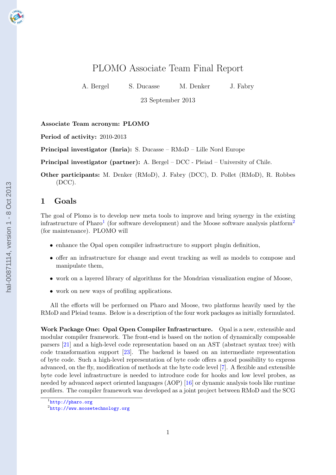# PLOMO Associate Team Final Report

A. Bergel S. Ducasse M. Denker J. Fabry

23 September 2013

Associate Team acronym: PLOMO

Period of activity: 2010-2013

Principal investigator (Inria): S. Ducasse – RMoD – Lille Nord Europe

Principal investigator (partner): A. Bergel – DCC - Pleiad – University of Chile.

Other participants: M. Denker (RMoD), J. Fabry (DCC), D. Pollet (RMoD), R. Robbes (DCC).

# 1 Goals

The goal of Plomo is to develop new meta tools to improve and bring synergy in the existing infrastructure of Pharo<sup>1</sup> (for software development) and the Moose software analysis platform<sup>2</sup> (for maintenance). PLOMO will

- enhance the Opal open compiler infrastructure to support plugin definition,
- offer an infrastructure for change and event tracking as well as models to compose and manipulate them,
- work on a layered library of algorithms for the Mondrian visualization engine of Moose,
- work on new ways of profiling applications.

All the efforts will be performed on Pharo and Moose, two platforms heavily used by the RMoD and Pleiad teams. Below is a description of the four work packages as initially formulated.

Work Package One: Opal Open Compiler Infrastructure. Opal is a new, extensible and modular compiler framework. The front-end is based on the notion of dynamically composable parsers [\[21\]](#page-11-0) and a high-level code representation based on an AST (abstract syntax tree) with code transformation support [\[23\]](#page-11-0). The backend is based on an intermediate representation of byte code. Such a high-level representation of byte code offers a good possibility to express advanced, on the fly, modification of methods at the byte code level [\[7\]](#page-10-0). A flexible and extensible byte code level infrastructure is needed to introduce code for hooks and low level probes, as needed by advanced aspect oriented languages (AOP) [\[16\]](#page-11-0) or dynamic analysis tools like runtime profilers. The compiler framework was developed as a joint project between RMoD and the SCG

<sup>1</sup> <http://pharo.org>

 $^{2}$ <http://www.moosetechnology.org>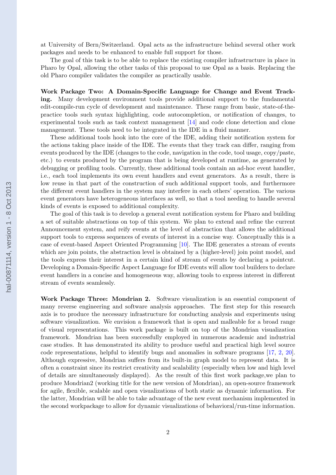at University of Bern/Switzerland. Opal acts as the infrastructure behind several other work packages and needs to be enhanced to enable full support for those.

The goal of this task is to be able to replace the existing compiler infrastructure in place in Pharo by Opal, allowing the other tasks of this proposal to use Opal as a basis. Replacing the old Pharo compiler validates the compiler as practically usable.

Work Package Two: A Domain-Specific Language for Change and Event Tracking. Many development environment tools provide additional support to the fundamental edit-compile-run cycle of development and maintenance. These range from basic, state-of-thepractice tools such syntax highlighting, code autocompletion, or notification of changes, to experimental tools such as task context management [\[14\]](#page-11-0) and code clone detection and clone management. These tools need to be integrated in the IDE in a fluid manner.

These additional tools hook into the core of the IDE, adding their notification system for the actions taking place inside of the IDE. The events that they track can differ, ranging from events produced by the IDE (changes to the code, navigation in the code, tool usage, copy/paste, etc.) to events produced by the program that is being developed at runtime, as generated by debugging or profiling tools. Currently, these additional tools contain an ad-hoc event handler, i.e., each tool implements its own event handlers and event generators. As a result, there is low reuse in that part of the construction of such additional support tools, and furthermore the different event handlers in the system may interfere in each others' operation. The various event generators have heterogeneous interfaces as well, so that a tool needing to handle several kinds of events is exposed to additional complexity.

The goal of this task is to develop a general event notification system for Pharo and building a set of suitable abstractions on top of this system. We plan to extend and refine the current Announcement system, and reify events at the level of abstraction that allows the additional support tools to express sequences of events of interest in a concise way. Conceptually this is a case of event-based Aspect Oriented Programming [\[10\]](#page-10-0). The IDE generates a stream of events which are join points, the abstraction level is obtained by a (higher-level) join point model, and the tools express their interest in a certain kind of stream of events by declaring a pointcut. Developing a Domain-Specific Aspect Language for IDE events will allow tool builders to declare event handlers in a concise and homogeneous way, allowing tools to express interest in different stream of events seamlessly.

Work Package Three: Mondrian 2. Software visualization is an essential component of many reverse engineering and software analysis approaches. The first step for this research axis is to produce the necessary infrastructure for conducting analysis and experiments using software visualization. We envision a framework that is open and malleable for a broad range of visual representations. This work package is built on top of the Mondrian visualization framework. Mondrian has been successfully employed in numerous academic and industrial case studies. It has demonstrated its ability to produce useful and practical high level source code representations, helpful to identify bugs and anomalies in software programs [\[17,](#page-11-0) [2,](#page-10-0) [20\]](#page-11-0). Although expressive, Mondrian suffers from its built-in graph model to represent data. It is often a constraint since its restrict creativity and scalability (especially when low and high level of details are simultaneously displayed). As the result of this first work package,we plan to produce Mondrian2 (working title for the new version of Mondrian), an open-source framework for agile, flexible, scalable and open visualizations of both static as dynamic information. For the latter, Mondrian will be able to take advantage of the new event mechanism implemented in the second workpackage to allow for dynamic visualizations of behavioral/run-time information.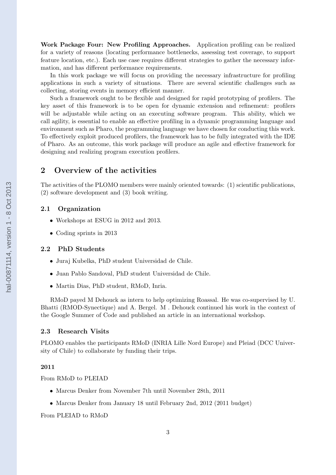Work Package Four: New Profiling Approaches. Application profiling can be realized for a variety of reasons (locating performance bottlenecks, assessing test coverage, to support feature location, etc.). Each use case requires different strategies to gather the necessary information, and has different performance requirements.

In this work package we will focus on providing the necessary infrastructure for profiling applications in such a variety of situations. There are several scientific challenges such as collecting, storing events in memory efficient manner.

Such a framework ought to be flexible and designed for rapid prototyping of profilers. The key asset of this framework is to be open for dynamic extension and refinement: profilers will be adjustable while acting on an executing software program. This ability, which we call agility, is essential to enable an effective profiling in a dynamic programming language and environment such as Pharo, the programming language we have chosen for conducting this work. To effectively exploit produced profilers, the framework has to be fully integrated with the IDE of Pharo. As an outcome, this work package will produce an agile and effective framework for designing and realizing program execution profilers.

# 2 Overview of the activities

The activities of the PLOMO members were mainly oriented towards: (1) scientific publications, (2) software development and (3) book writing.

### 2.1 Organization

- Workshops at ESUG in 2012 and 2013.
- Coding sprints in 2013

#### 2.2 PhD Students

- Juraj Kubelka, PhD student Universidad de Chile.
- Juan Pablo Sandoval, PhD student Universidad de Chile.
- Martin Dias, PhD student, RMoD, Inria.

RMoD payed M Dehouck as intern to help optimizing Roassal. He was co-supervised by U. Bhatti (RMOD-Synectique) and A. Bergel. M . Dehouck continued his work in the context of the Google Summer of Code and published an article in an international workshop.

### 2.3 Research Visits

PLOMO enables the participants RMoD (INRIA Lille Nord Europe) and Pleiad (DCC University of Chile) to collaborate by funding their trips.

#### 2011

From RMoD to PLEIAD

- Marcus Denker from November 7th until November 28th, 2011
- Marcus Denker from January 18 until February 2nd, 2012 (2011 budget)

From PLEIAD to RMoD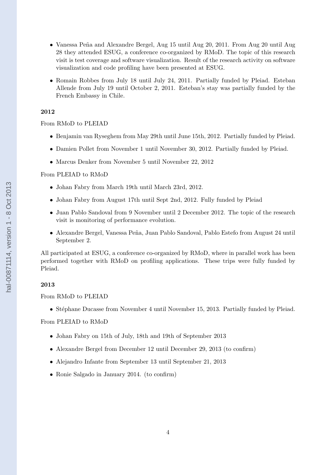- Vanessa Peña and Alexandre Bergel, Aug 15 until Aug 20, 2011. From Aug 20 until Aug 28 they attended ESUG, a conference co-organized by RMoD. The topic of this research visit is test coverage and software visualization. Result of the research activity on software visualization and code profiling have been presented at ESUG.
- Romain Robbes from July 18 until July 24, 2011. Partially funded by Pleiad. Esteban Allende from July 19 until October 2, 2011. Esteban's stay was partially funded by the French Embassy in Chile.

### 2012

### From RMoD to PLEIAD

- Benjamin van Ryseghem from May 29th until June 15th, 2012. Partially funded by Pleiad.
- Damien Pollet from November 1 until November 30, 2012. Partially funded by Pleiad.
- Marcus Denker from November 5 until November 22, 2012

### From PLEIAD to RMoD

- Johan Fabry from March 19th until March 23rd, 2012.
- Johan Fabry from August 17th until Sept 2nd, 2012. Fully funded by Pleiad
- Juan Pablo Sandoval from 9 November until 2 December 2012. The topic of the research visit is monitoring of performance evolution.
- Alexandre Bergel, Vanessa Peña, Juan Pablo Sandoval, Pablo Estefo from August 24 until September 2.

All participated at ESUG, a conference co-organized by RMoD, where in parallel work has been performed together with RMoD on profiling applications. These trips were fully funded by Pleiad.

#### 2013

### From RMoD to PLEIAD

• Stéphane Ducasse from November 4 until November 15, 2013. Partially funded by Pleiad.

### From PLEIAD to RMoD

- Johan Fabry on 15th of July, 18th and 19th of September 2013
- Alexandre Bergel from December 12 until December 29, 2013 (to confirm)
- Alejandro Infante from September 13 until September 21, 2013
- Ronie Salgado in January 2014. (to confirm)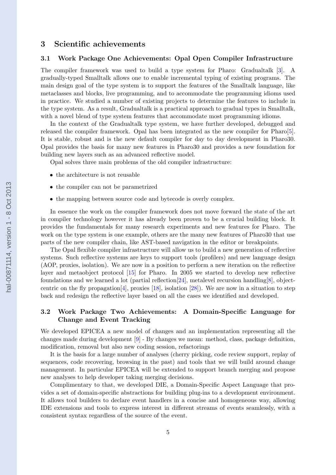# 3 Scientific achievements

### 3.1 Work Package One Achievements: Opal Open Compiler Infrastructure

The compiler framework was used to build a type system for Pharo: Gradualtalk [\[3\]](#page-10-0). A gradually-typed Smalltalk allows one to enable incremental typing of existing programs. The main design goal of the type system is to support the features of the Smalltalk language, like metaclasses and blocks, live programming, and to accommodate the programming idioms used in practice. We studied a number of existing projects to determine the features to include in the type system. As a result, Gradualtalk is a practical approach to gradual types in Smalltalk, with a novel blend of type system features that accommodate most programming idioms.

In the context of the Gradualtalk type system, we have further developed, debugged and released the compiler framework. Opal has been integrated as the new compiler for Pharo[\[5\]](#page-10-0). It is stable, robust and is the new default compiler for day to day development in Pharo30. Opal provides the basis for many new features in Pharo30 and provides a new foundation for building new layers such as an advanced reflective model.

Opal solves three main problems of the old compiler infrastructure:

- the architecture is not reusable
- the compiler can not be parametrized
- the mapping between source code and bytecode is overly complex.

In essence the work on the compiler framework does not move forward the state of the art in compiler technology however it has already been proven to be a crucial building block. It provides the fundamentals for many research experiments and new features for Pharo. The work on the type system is one example, others are the many new features of Pharo30 that use parts of the new compiler chain, like AST-based navigation in the editor or breakpoints.

The Opal flexible compiler infrastructure will allow us to build a new generation of reflective systems. Such reflective systems are keys to support tools (profilers) and new language design (AOP, proxies, isolation). We are now in a position to perform a new iteration on the reflective layer and metaobject protocol [\[15\]](#page-11-0) for Pharo. In 2005 we started to develop new reflective foundations and we learned a lot (partial reflection  $[24]$ , metalevel recursion handling  $[8]$ , object-centric on the fly propagation [\[4\]](#page-10-0), proxies  $[18]$ , isolation  $[28]$ ). We are now in a situation to step back and redesign the reflective layer based on all the cases we identified and developed.

# 3.2 Work Package Two Achievements: A Domain-Specific Language for Change and Event Tracking

We developed EPICEA a new model of changes and an implementation representing all the changes made during development [\[9\]](#page-10-0) - By changes we mean: method, class, package definition, modification, removal but also new coding session, refactorings

It is the basis for a large number of analyses (cherry picking, code review support, replay of sequences, code recovering, browsing in the past) and tools that we will build around change management. In particular EPICEA will be extended to support branch merging and propose new analyses to help developer taking merging decisions.

Complimentary to that, we developed DIE, a Domain-Specific Aspect Language that provides a set of domain-specific abstractions for building plug-ins to a development environment. It allows tool builders to declare event handlers in a concise and homogeneous way, allowing IDE extensions and tools to express interest in different streams of events seamlessly, with a consistent syntax regardless of the source of the event.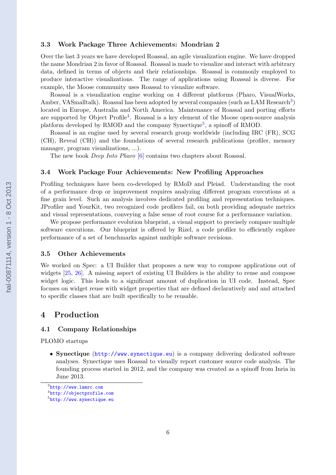### 3.3 Work Package Three Achievements: Mondrian 2

Over the last 3 years we have developed Roassal, an agile visualization engine. We have dropped the name Mondrian 2 in favor of Roassal. Roassal is made to visualize and interact with arbitrary data, defined in terms of objects and their relationships. Roassal is commonly employed to produce interactive visualizations. The range of applications using Roassal is diverse. For example, the Moose community uses Roassal to visualize software.

Roassal is a visualization engine working on 4 different platforms (Pharo, VisualWorks, Amber, VASmalltalk). Roassal has been adopted by several companies (such as LAM Research<sup>3</sup>) located in Europe, Australia and North America. Maintenance of Roassal and porting efforts are supported by Object Profile<sup>4</sup>. Roassal is a key element of the Moose open-source analysis platform developed by RMOD and the company Synectique<sup>5</sup>, a spinoff of RMOD.

Roassal is an engine used by several research group worldwide (including IRC (FR), SCG (CH), Reveal (CH)) and the foundations of several research publications (profiler, memory manager, program visualizations, ...).

The new book Deep Into Pharo [\[6\]](#page-10-0) contains two chapters about Roassal.

### 3.4 Work Package Four Achievements: New Profiling Approaches

Profiling techniques have been co-developed by RMoD and Pleiad. Understanding the root of a performance drop or improvement requires analyzing different program executions at a fine grain level. Such an analysis involves dedicated profiling and representation techniques. JProfiler and YourKit, two recognized code profilers fail, on both providing adequate metrics and visual representations, conveying a false sense of root course for a performance variation.

We propose performance evolution blueprint, a visual support to precisely compare multiple software executions. Our blueprint is offered by Rizel, a code profiler to efficiently explore performance of a set of benchmarks against multiple software revisions.

### 3.5 Other Achievements

We worked on Spec: a UI Builder that proposes a new way to compose applications out of widgets [\[25,](#page-11-0) [26\]](#page-11-0). A missing aspect of existing UI Builders is the ability to reuse and compose widget logic. This leads to a significant amount of duplication in UI code. Instead, Spec focuses on widget reuse with widget properties that are defined declaratively and and attached to specific classes that are built specifically to be reusable.

# 4 Production

### 4.1 Company Relationships

PLOMO startups

• Synectique (<http://www.synectique.eu>) is a company delivering dedicated software analyses. Synectique uses Roassal to visually report customer source code analysis. The founding process started in 2012, and the company was created as a spinoff from Inria in June 2013.

<sup>3</sup> <http://www.lamrc.com>

<sup>4</sup> <http://objectprofile.com>

 $5$ <http://www.synectique.eu>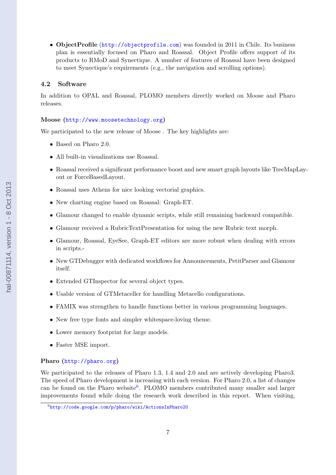• ObjectProfile (<http://objectprofile.com>) was founded in 2011 in Chile. Its business plan is essentially focused on Pharo and Roassal. Object Profile offers support of its products to RMoD and Synectique. A number of features of Roassal have been designed to meet Synectique's requirements (e.g., the navigation and scrolling options).

# 4.2 Software

In addition to OPAL and Roassal, PLOMO members directly worked on Moose and Pharo releases.

### Moose (<http://www.moosetechnology.org>)

We participated to the new release of Moose . The key highlights are:

- Based on Pharo 2.0.
- All built-in visualizations use Roassal.
- Roassal received a significant performance boost and new smart graph layouts like TreeMapLayout or ForceBasedLayout.
- Roassal uses Athens for nice looking vectorial graphics.
- New charting engine based on Roassal: Graph-ET.
- Glamour changed to enable dynamic scripts, while still remaining backward compatible.
- Glamour received a RubricTextPresentation for using the new Rubric text morph.
- Glamour, Roassal, EyeSee, Graph-ET editors are more robust when dealing with errors in scripts.-
- New GTDebugger with dedicated workflows for Announcements, PetitParser and Glamour itself.
- Extended GTInspector for several object types.
- Usable version of GTMetaceller for handling Metacello configurations.
- FAMIX was strengthen to handle functions better in various programming languages.
- New free type fonts and simpler whitespace-loving theme.
- Lower memory footprint for large models.
- Faster MSE import.

### Pharo (<http://pharo.org>)

We participated to the releases of Pharo 1.3, 1.4 and 2.0 and are actively developing Pharo3. The speed of Pharo development is increasing with each version. For Pharo 2.0, a list of changes can be found on the Pharo website<sup>6</sup>. PLOMO members contributed many smaller and larger improvements found while doing the research work described in this report. When visiting,

<sup>6</sup> <http://code.google.com/p/pharo/wiki/ActionsInPharo20>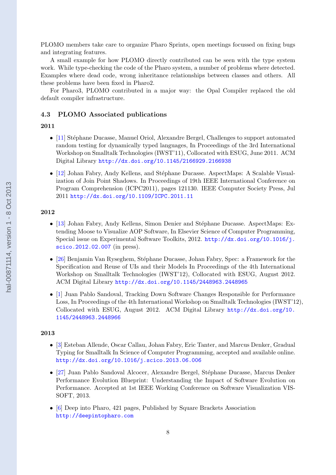PLOMO members take care to organize Pharo Sprints, open meetings focussed on fixing bugs and integrating features.

A small example for how PLOMO directly contributed can be seen with the type system work. While type-checking the code of the Pharo system, a number of problems where detected. Examples where dead code, wrong inheritance relationships between classes and others. All these problems have been fixed in Pharo2.

For Pharo3, PLOMO contributed in a major way: the Opal Compiler replaced the old default compiler infrastructure.

### 4.3 PLOMO Associated publications

### 2011

- [\[11\]](#page-10-0) Stéphane Ducasse, Manuel Oriol, Alexandre Bergel, Challenges to support automated random testing for dynamically typed languages, In Proceedings of the 3rd International Workshop on Smalltalk Technologies (IWST'11), Collocated with ESUG, June 2011. ACM Digital Library <http://dx.doi.org/10.1145/2166929.2166938>
- $[12]$  Johan Fabry, Andy Kellens, and Stéphane Ducasse. AspectMaps: A Scalable Visualization of Join Point Shadows. In Proceedings of 19th IEEE International Conference on Program Comprehension (ICPC2011), pages 121130. IEEE Computer Society Press, Jul 2011 <http://dx.doi.org/10.1109/ICPC.2011.11>

### 2012

- [\[13\]](#page-11-0) Johan Fabry, Andy Kellens, Simon Denier and Stéphane Ducasse. AspectMaps: Extending Moose to Visualize AOP Software, In Elsevier Science of Computer Programming, Special issue on Experimental Software Toolkits, 2012. [http://dx.doi.org/10.1016/j.](http://dx.doi.org/10.1016/j.scico.2012.02.007) [scico.2012.02.007](http://dx.doi.org/10.1016/j.scico.2012.02.007) (in press).
- [\[26\]](#page-11-0) Benjamin Van Ryseghem, Stéphane Ducasse, Johan Fabry, Spec: a Framework for the Specification and Reuse of UIs and their Models In Proceedings of the 4th International Workshop on Smalltalk Technologies (IWST'12), Collocated with ESUG, August 2012. ACM Digital Library <http://dx.doi.org/10.1145/2448963.2448965>
- [\[1\]](#page-10-0) Juan Pablo Sandoval, Tracking Down Software Changes Responsible for Performance Loss, In Proceedings of the 4th International Workshop on Smalltalk Technologies (IWST'12), Collocated with ESUG, August 2012. ACM Digital Library [http://dx.doi.org/10.](http://dx.doi.org/10.1145/2448963.2448966) [1145/2448963.2448966](http://dx.doi.org/10.1145/2448963.2448966)

### 2013

- [\[3\]](#page-10-0) Esteban Allende, Oscar Callau, Johan Fabry, Eric Tanter, and Marcus Denker, Gradual Typing for Smalltalk In Science of Computer Programming, accepted and available online. <http://dx.doi.org/10.1016/j.scico.2013.06.006>
- [\[27\]](#page-12-0) Juan Pablo Sandoval Alcocer, Alexandre Bergel, Stéphane Ducasse, Marcus Denker Performance Evolution Blueprint: Understanding the Impact of Software Evolution on Performance. Accepted at 1st IEEE Working Conference on Software Visualization VIS-SOFT, 2013.
- [\[6\]](#page-10-0) Deep into Pharo, 421 pages, Published by Square Brackets Association <http://deepintopharo.com>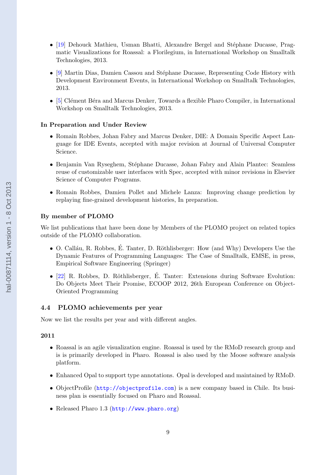- $[19]$  Dehouck Mathieu, Usman Bhatti, Alexandre Bergel and Stéphane Ducasse, Pragmatic Visualizations for Roassal: a Florilegium, in International Workshop on Smalltalk Technologies, 2013.
- [\[9\]](#page-10-0) Martin Dias, Damien Cassou and Stéphane Ducasse, Representing Code History with Development Environment Events, in International Workshop on Smalltalk Technologies, 2013.
- [\[5\]](#page-10-0) Clément Béra and Marcus Denker, Towards a flexible Pharo Compiler, in International Workshop on Smalltalk Technologies, 2013.

### In Preparation and Under Review

- Romain Robbes, Johan Fabry and Marcus Denker, DIE: A Domain Specific Aspect Language for IDE Events, accepted with major revision at Journal of Universal Computer Science.
- Benjamin Van Ryseghem, Stéphane Ducasse, Johan Fabry and Alain Plantec: Seamless reuse of customizable user interfaces with Spec, accepted with minor revisions in Elsevier Science of Computer Programs.
- Romain Robbes, Damien Pollet and Michele Lanza: Improving change prediction by replaying fine-grained development histories, In preparation.

### By member of PLOMO

We list publications that have been done by Members of the PLOMO project on related topics outside of the PLOMO collaboration.

- O. Calláu, R. Robbes, É. Tanter, D. Röthlisberger: How (and Why) Developers Use the Dynamic Features of Programming Languages: The Case of Smalltalk, EMSE, in press, Empirical Software Engineering (Springer)
- $[22]$  R. Robbes, D. Röthlisberger, É. Tanter: Extensions during Software Evolution: Do Objects Meet Their Promise, ECOOP 2012, 26th European Conference on Object-Oriented Programming

# 4.4 PLOMO achievements per year

Now we list the results per year and with different angles.

### 2011

- Roassal is an agile visualization engine. Roassal is used by the RMoD research group and is is primarily developed in Pharo. Roassal is also used by the Moose software analysis platform.
- Enhanced Opal to support type annotations. Opal is developed and maintained by RMoD.
- ObjectProfile (<http://objectprofile.com>) is a new company based in Chile. Its business plan is essentially focused on Pharo and Roassal.
- Released Pharo 1.3 (<http://www.pharo.org>)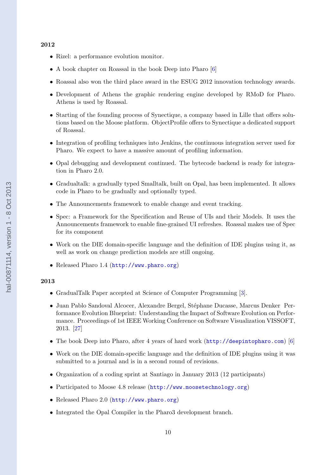### 2012

- Rizel: a performance evolution monitor.
- A book chapter on Roassal in the book Deep into Pharo [\[6\]](#page-10-0)
- Roassal also won the third place award in the ESUG 2012 innovation technology awards.
- Development of Athens the graphic rendering engine developed by RMoD for Pharo. Athens is used by Roassal.
- Starting of the founding process of Synectique, a company based in Lille that offers solutions based on the Moose platform. ObjectProfile offers to Synectique a dedicated support of Roassal.
- Integration of profiling techniques into Jenkins, the continuous integration server used for Pharo. We expect to have a massive amount of profiling information.
- Opal debugging and development continued. The bytecode backend is ready for integration in Pharo 2.0.
- Gradualtalk: a gradually typed Smalltalk, built on Opal, has been implemented. It allows code in Pharo to be gradually and optionally typed.
- The Announcements framework to enable change and event tracking.
- Spec: a Framework for the Specification and Reuse of UIs and their Models. It uses the Announcements framework to enable fine-grained UI refreshes. Roassal makes use of Spec for its component
- Work on the DIE domain-specific language and the definition of IDE plugins using it, as well as work on change prediction models are still ongoing.
- Released Pharo 1.4 (<http://www.pharo.org>)

### 2013

- GradualTalk Paper accepted at Science of Computer Programming [\[3\]](#page-10-0).
- Juan Pablo Sandoval Alcocer, Alexandre Bergel, Stéphane Ducasse, Marcus Denker Performance Evolution Blueprint: Understanding the Impact of Software Evolution on Performance. Proceedings of 1st IEEE Working Conference on Software Visualization VISSOFT, 2013. [\[27\]](#page-12-0)
- The book Deep into Pharo, after 4 years of hard work (<http://deepintopharo.com>) [\[6\]](#page-10-0)
- Work on the DIE domain-specific language and the definition of IDE plugins using it was submitted to a journal and is in a second round of revisions.
- Organization of a coding sprint at Santiago in January 2013 (12 participants)
- Participated to Moose 4.8 release (<http://www.moosetechnology.org>)
- Released Pharo 2.0 (<http://www.pharo.org>)
- Integrated the Opal Compiler in the Pharo3 development branch.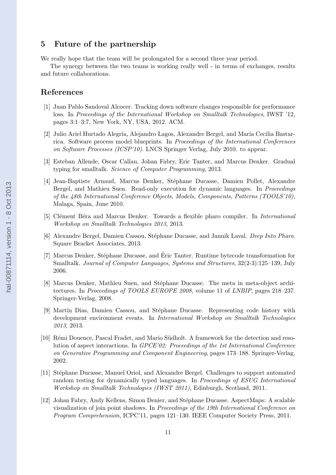# <span id="page-10-0"></span>5 Future of the partnership

We really hope that the team will be prolongated for a second three year period.

The synergy between the two teams is working really well - in terms of exchanges, results and future collaborations.

# References

- [1] Juan Pablo Sandoval Alcocer. Tracking down software changes responsible for performance loss. In Proceedings of the International Workshop on Smalltalk Technologies, IWST '12, pages 3:1–3:7, New York, NY, USA, 2012. ACM.
- [2] Julio Ariel Hurtado Alegría, Alejandro Lagos, Alexandre Bergel, and María Cecilia Bastarrica. Software process model blueprints. In Proceedings of the International Conferences on Software Processes (ICSP'10). LNCS Springer Verlag, July 2010. to appear.
- [3] Esteban Allende, Oscar Callau, Johan Fabry, Eric Tanter, and Marcus Denker. Gradual typing for smalltalk. Science of Computer Programming, 2013.
- [4] Jean-Baptiste Arnaud, Marcus Denker, Stéphane Ducasse, Damien Pollet, Alexandre Bergel, and Mathieu Suen. Read-only execution for dynamic languages. In Proceedings of the 48th International Conference Objects, Models, Components, Patterns (TOOLS'10), Malaga, Spain, June 2010.
- [5] Clément Béra and Marcus Denker. Towards a flexible pharo compiler. In *International* Workshop on Smalltalk Technologies 2013, 2013.
- [6] Alexandre Bergel, Damien Cassou, Stéphane Ducasse, and Jannik Laval. Deep Into Pharo. Square Bracket Associates, 2013.
- [7] Marcus Denker, Stéphane Ducasse, and Éric Tanter. Runtime bytecode transformation for Smalltalk. Journal of Computer Languages, Systems and Structures, 32(2-3):125–139, July 2006.
- [8] Marcus Denker, Mathieu Suen, and Stéphane Ducasse. The meta in meta-object architectures. In Proceedings of TOOLS EUROPE 2008, volume 11 of LNBIP, pages 218–237. Springer-Verlag, 2008.
- [9] Martín Dias, Damien Cassou, and Stéphane Ducasse. Representing code history with development environment events. In International Workshop on Smalltalk Technologies 2013, 2013.
- [10] Rémi Douence, Pascal Fradet, and Mario Südholt. A framework for the detection and resolution of aspect interactions. In GPCE'02: Proceedings of the 1st International Conference on Generative Programming and Component Engineering, pages 173–188. Springer-Verlag, 2002.
- [11] Stéphane Ducasse, Manuel Oriol, and Alexandre Bergel. Challenges to support automated random testing for dynamically typed languages. In *Proceedings of ESUG International* Workshop on Smalltalk Technologies (IWST 2011), Edinburgh, Scotland, 2011.
- [12] Johan Fabry, Andy Kellens, Simon Denier, and St´ephane Ducasse. AspectMaps: A scalable visualization of join point shadows. In Proceedings of the 19th International Conference on Program Comprehension, ICPC'11, pages 121–130. IEEE Computer Society Press, 2011.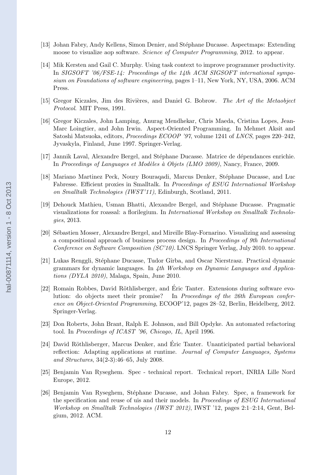- <span id="page-11-0"></span>[13] Johan Fabry, Andy Kellens, Simon Denier, and Stéphane Ducasse. Aspectmaps: Extending moose to visualize aop software. Science of Computer Programming, 2012. to appear.
- [14] Mik Kersten and Gail C. Murphy. Using task context to improve programmer productivity. In SIGSOFT '06/FSE-14: Proceedings of the 14th ACM SIGSOFT international symposium on Foundations of software engineering, pages 1–11, New York, NY, USA, 2006. ACM Press.
- [15] Gregor Kiczales, Jim des Rivières, and Daniel G. Bobrow. The Art of the Metaobject Protocol. MIT Press, 1991.
- [16] Gregor Kiczales, John Lamping, Anurag Mendhekar, Chris Maeda, Cristina Lopes, Jean-Marc Loingtier, and John Irwin. Aspect-Oriented Programming. In Mehmet Aksit and Satoshi Matsuoka, editors, Proceedings ECOOP '97, volume 1241 of LNCS, pages 220–242, Jyvaskyla, Finland, June 1997. Springer-Verlag.
- [17] Jannik Laval, Alexandre Bergel, and Stéphane Ducasse. Matrice de dépendances enrichie. In Proceedings of Languages et Modèles à Objets (LMO 2009), Nancy, France, 2009.
- [18] Mariano Martinez Peck, Noury Bouragadi, Marcus Denker, Stéphane Ducasse, and Luc Fabresse. Efficient proxies in Smalltalk. In Proceedings of ESUG International Workshop on Smalltalk Technologies (IWST'11), Edinburgh, Scotland, 2011.
- [19] Dehouck Mathieu, Usman Bhatti, Alexandre Bergel, and Stéphane Ducasse. Pragmatic visualizations for roassal: a florilegium. In International Workshop on Smalltalk Technologies, 2013.
- [20] Sébastien Mosser, Alexandre Bergel, and Mireille Blay-Fornarino. Visualizing and assessing a compositional approach of business process design. In Proceedings of 9th International Conference on Software Composition (SC'10). LNCS Springer Verlag, July 2010. to appear.
- [21] Lukas Renggli, Stéphane Ducasse, Tudor Gîrba, and Oscar Nierstrasz. Practical dynamic grammars for dynamic languages. In  $4th$  Workshop on Dynamic Languages and Applications (DYLA 2010), Malaga, Spain, June 2010.
- [22] Romain Robbes, David Röthlisberger, and Éric Tanter. Extensions during software evolution: do objects meet their promise? In Proceedings of the 26th European conference on Object-Oriented Programming, ECOOP'12, pages 28–52, Berlin, Heidelberg, 2012. Springer-Verlag.
- [23] Don Roberts, John Brant, Ralph E. Johnson, and Bill Opdyke. An automated refactoring tool. In Proceedings of ICAST '96, Chicago, IL, April 1996.
- [24] David Röthlisberger, Marcus Denker, and Éric Tanter. Unanticipated partial behavioral reflection: Adapting applications at runtime. Journal of Computer Languages, Systems and Structures, 34(2-3):46–65, July 2008.
- [25] Benjamin Van Ryseghem. Spec technical report. Technical report, INRIA Lille Nord Europe, 2012.
- [26] Benjamin Van Ryseghem, Stéphane Ducasse, and Johan Fabry. Spec, a framework for the specification and reuse of uis and their models. In Proceedings of ESUG International Workshop on Smalltalk Technologies (IWST 2012), IWST '12, pages 2:1–2:14, Gent, Belgium, 2012. ACM.